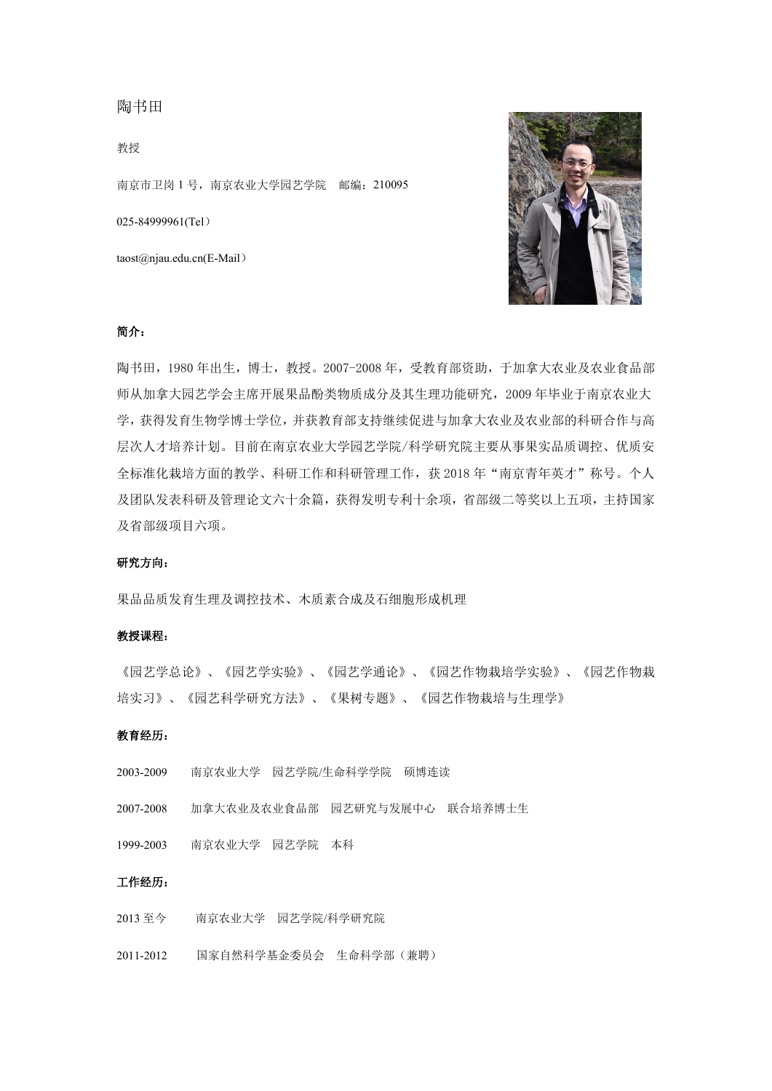# 陶书田

教授

南京市卫岗 1 号,南京农业大学园艺学院 邮编:210095

025-84999961(Tel)

taost@njau.edu.cn(E-Mail)



## 简介:

陶书田,1980 年出生,博士,教授。2007-2008 年,受教育部资助,于加拿大农业及农业食品部 师从加拿大园艺学会主席开展果品酚类物质成分及其生理功能研究,2009 年毕业于南京农业大 学,获得发育生物学博士学位,并获教育部支持继续促进与加拿大农业及农业部的科研合作与高 层次人才培养计划。目前在南京农业大学园艺学院/科学研究院主要从事果实品质调控、优质安 全标准化栽培方面的教学、科研工作和科研管理工作,获 2018 年"南京青年英才"称号。个人 及团队发表科研及管理论文六十余篇,获得发明专利十余项,省部级二等奖以上五项,主持国家 及省部级项目六项。

# 研究方向:

果品品质发育生理及调控技术、木质素合成及石细胞形成机理

## 教授课程:

《园艺学总论》、《园艺学实验》、《园艺学通论》、《园艺作物栽培学实验》、《园艺作物栽 培实习》、《园艺科学研究方法》、《果树专题》、《园艺作物栽培与生理学》

## 教育经历:

- 2003-2009 南京农业大学 园艺学院/生命科学学院 硕博连读
- 2007-2008 加拿大农业及农业食品部 园艺研究与发展中心 联合培养博士生
- 1999-2003 南京农业大学 园艺学院 本科

#### 工作经历:

- 2013 至今 南京农业大学 园艺学院/科学研究院
- 2011-2012 国家自然科学基金委员会 生命科学部(兼聘)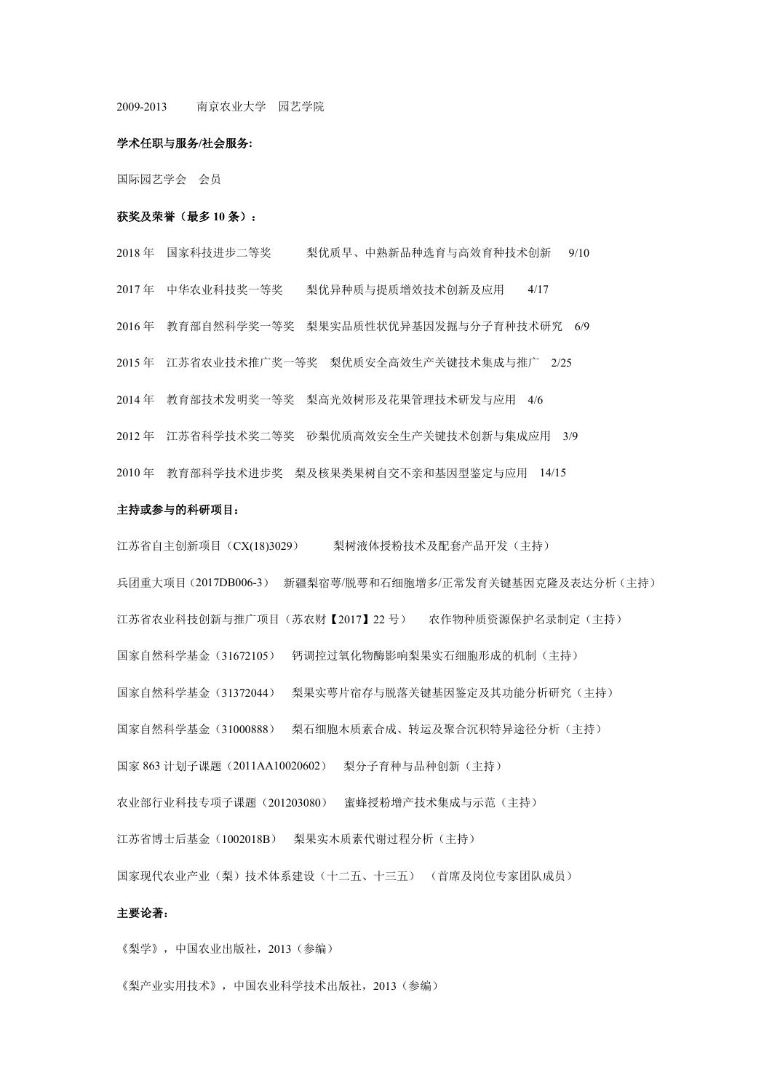2009-2013 南京农业大学 园艺学院

#### 学术任职与服务**/**社会服务**:**

国际园艺学会 会员

### 获奖及荣誉(最多 **10** 条):

 年 国家科技进步二等奖 梨优质早、中熟新品种选育与高效育种技术创新 9/10 年 中华农业科技奖一等奖 梨优异种质与提质增效技术创新及应用 4/17 年 教育部自然科学奖一等奖 梨果实品质性状优异基因发掘与分子育种技术研究 6/9 年 江苏省农业技术推广奖一等奖 梨优质安全高效生产关键技术集成与推广 2/25 年 教育部技术发明奖一等奖 梨高光效树形及花果管理技术研发与应用 4/6 年 江苏省科学技术奖二等奖 砂梨优质高效安全生产关键技术创新与集成应用 3/9 年 教育部科学技术进步奖 梨及核果类果树自交不亲和基因型鉴定与应用 14/15

#### 主持或参与的科研项目:

江苏省自主创新项目(CX(18)3029) 梨树液体授粉技术及配套产品开发(主持) 兵团重大项目(2017DB006-3) 新疆梨宿萼/脱萼和石细胞增多/正常发育关键基因克隆及表达分析(主持) 江苏省农业科技创新与推广项目(苏农财【2017】22 号) 农作物种质资源保护名录制定(主持) 国家自然科学基金(31672105) 钙调控过氧化物酶影响梨果实石细胞形成的机制(主持) 国家自然科学基金(31372044) 梨果实萼片宿存与脱落关键基因鉴定及其功能分析研究(主持) 国家自然科学基金(31000888) 梨石细胞木质素合成、转运及聚合沉积特异途径分析(主持) 国家 863 计划子课题(2011AA10020602) 梨分子育种与品种创新(主持) 农业部行业科技专项子课题(201203080) 蜜蜂授粉增产技术集成与示范(主持) 江苏省博士后基金(1002018B) 梨果实木质素代谢过程分析(主持) 国家现代农业产业(梨)技术体系建设(十二五、十三五) (首席及岗位专家团队成员)

# 主要论著:

《梨学》,中国农业出版社,2013(参编)

《梨产业实用技术》,中国农业科学技术出版社,2013(参编)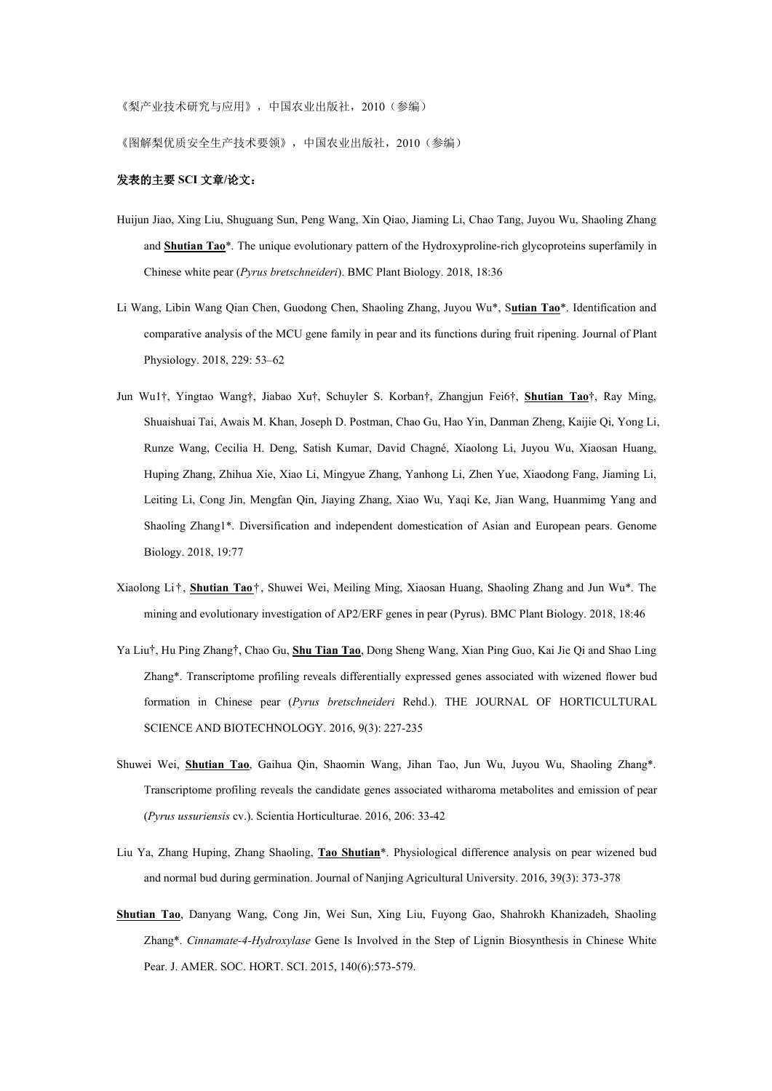《梨产业技术研究与应用》,中国农业出版社,2010(参编)

《图解梨优质安全生产技术要领》,中国农业出版社,2010(参编)

## 发表的主要 **SCI** 文章**/**论文:

- Huijun Jiao, Xing Liu, Shuguang Sun, Peng Wang, Xin Qiao, Jiaming Li, Chao Tang, Juyou Wu, Shaoling Zhang and **Shutian Tao**\*. The unique evolutionary pattern of the Hydroxyproline-rich glycoproteins superfamily in Chinese white pear (*Pyrus bretschneideri*). BMC Plant Biology. 2018, 18:36
- Li Wang, Libin Wang Qian Chen, Guodong Chen, Shaoling Zhang, Juyou Wu\*, S**utian Tao**\*. Identification and comparative analysis of the MCU gene family in pear and its functions during fruit ripening. Journal of Plant Physiology. 2018, 229: 53–62
- Jun Wu1†, Yingtao Wang†, Jiabao Xu†, Schuyler S. Korban†, Zhangjun Fei6†, **Shutian Tao**†, Ray Ming, Shuaishuai Tai, Awais M. Khan, Joseph D. Postman, Chao Gu, Hao Yin, Danman Zheng, Kaijie Qi, Yong Li, Runze Wang, Cecilia H. Deng, Satish Kumar, David Chagné, Xiaolong Li, Juyou Wu, Xiaosan Huang, Huping Zhang, Zhihua Xie, Xiao Li, Mingyue Zhang, Yanhong Li, Zhen Yue, Xiaodong Fang, Jiaming Li, Leiting Li, Cong Jin, Mengfan Qin, Jiaying Zhang, Xiao Wu, Yaqi Ke, Jian Wang, Huanmimg Yang and Shaoling Zhang1\*. Diversification and independent domestication of Asian and European pears. Genome Biology. 2018, 19:77
- Xiaolong Li†, **Shutian Tao**†, Shuwei Wei, Meiling Ming, Xiaosan Huang, Shaoling Zhang and Jun Wu\*. The mining and evolutionary investigation of AP2/ERF genes in pear (Pyrus). BMC Plant Biology. 2018, 18:46
- Ya Liu†, Hu Ping Zhang†, Chao Gu, **Shu Tian Tao**, Dong Sheng Wang, Xian Ping Guo, Kai Jie Qi and Shao Ling Zhang\*. Transcriptome profiling reveals differentially expressed genes associated with wizened flower bud formation in Chinese pear (*Pyrus bretschneideri* Rehd.). THE JOURNAL OF HORTICULTURAL SCIENCE AND BIOTECHNOLOGY.2016, 9(3): 227-235
- Shuwei Wei, **Shutian Tao**, Gaihua Qin, Shaomin Wang, Jihan Tao, Jun Wu, Juyou Wu, Shaoling Zhang\*. Transcriptome profiling reveals the candidate genes associated witharoma metabolites and emission of pear (*Pyrus ussuriensis* cv.). Scientia Horticulturae. 2016, 206: 33-42
- Liu Ya, Zhang Huping, Zhang Shaoling, **Tao Shutian**\*. Physiological difference analysis on pear wizened bud and normal bud during germination. Journal of Nanjing Agricultural University. 2016, 39(3): 373-378
- **Shutian Tao**, Danyang Wang, Cong Jin, Wei Sun, Xing Liu, Fuyong Gao, Shahrokh Khanizadeh, Shaoling Zhang\*. *Cinnamate-4-Hydroxylase* Gene Is Involved in the Step of Lignin Biosynthesis in Chinese White Pear. J. AMER. SOC. HORT. SCI. 2015, 140(6):573-579.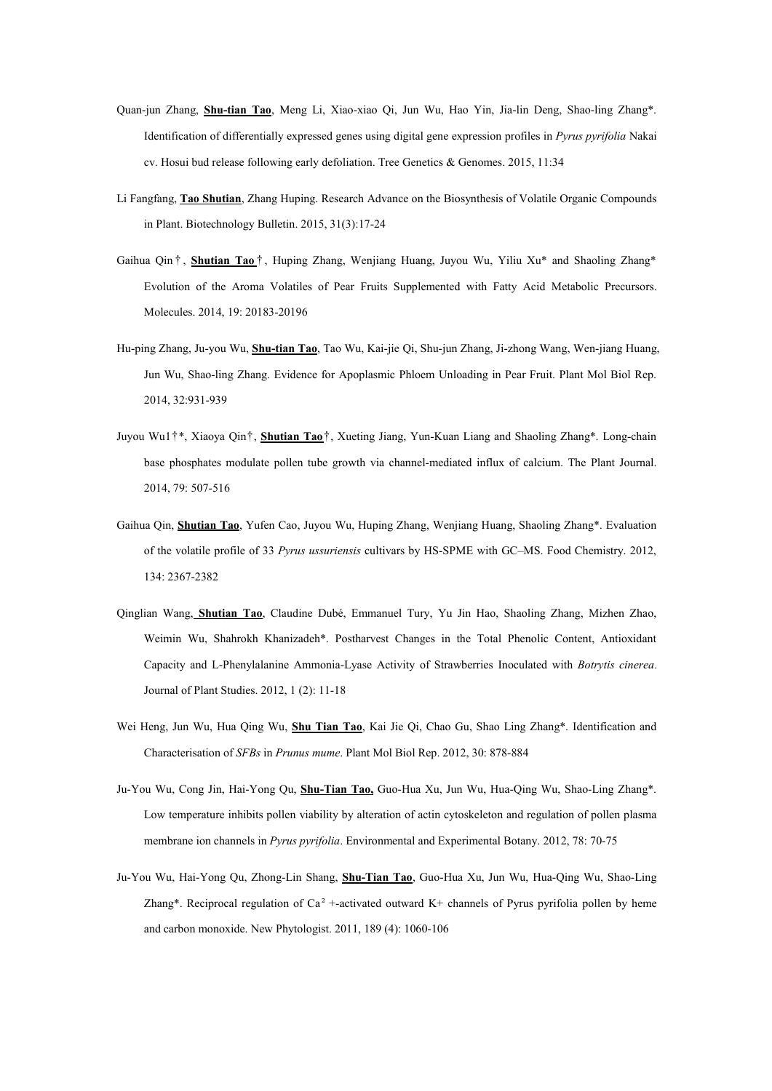- Quan-jun Zhang, **Shu-tian Tao**, Meng Li, Xiao-xiao Qi, Jun Wu, Hao Yin, Jia-lin Deng, Shao-ling Zhang\*. Identification of differentially expressed genes using digital gene expression profiles in *Pyrus pyrifolia* Nakai cv. Hosui bud release following early defoliation. Tree Genetics & Genomes. 2015, 11:34
- Li Fangfang, **Tao Shutian**, Zhang Huping. Research Advance on the Biosynthesis ofVolatile Organic Compounds in Plant. Biotechnology Bulletin. 2015, 31(3):17-24
- Gaihua Qin † , **Shutian Tao** † , Huping Zhang, Wenjiang Huang, Juyou Wu, Yiliu Xu\* and Shaoling Zhang\* Evolution of the Aroma Volatiles of Pear Fruits Supplemented with Fatty Acid Metabolic Precursors. Molecules. 2014, 19: 20183-20196
- Hu-ping Zhang, Ju-you Wu, **Shu-tian Tao**, Tao Wu, Kai-jie Qi, Shu-jun Zhang, Ji-zhong Wang, Wen-jiang Huang, Jun Wu, Shao-ling Zhang. Evidence for Apoplasmic Phloem Unloading in Pear Fruit. Plant Mol Biol Rep. 2014, 32:931-939
- Juyou Wu1†\*, Xiaoya Qin†, **Shutian Tao**†, Xueting Jiang, Yun-Kuan Liang and Shaoling Zhang\*. Long-chain base phosphates modulate pollen tube growth via channel-mediated influx of calcium. The Plant Journal. 2014, 79: 507-516
- Gaihua Qin, **Shutian Tao**, Yufen Cao, Juyou Wu, Huping Zhang, Wenjiang Huang, Shaoling Zhang\*. Evaluation of the volatile profile of 33 *Pyrus ussuriensis* cultivars by HS-SPME withGC–MS. Food Chemistry.2012, 134: 2367-2382
- Qinglian Wang, **Shutian Tao**, Claudine Dubé, Emmanuel Tury, Yu Jin Hao, Shaoling Zhang, Mizhen Zhao, Weimin Wu, Shahrokh Khanizadeh\*. Postharvest Changes in the Total Phenolic Content, Antioxidant Capacity and L-Phenylalanine Ammonia-Lyase Activity of Strawberries Inoculated with *Botrytis cinerea*. Journal of Plant Studies. 2012, 1 (2): 11-18
- Wei Heng, Jun Wu, Hua Qing Wu, **Shu Tian Tao**, Kai Jie Qi, Chao Gu, Shao Ling Zhang\*. Identification and Characterisation of *SFBs* in *Prunus mume*. Plant Mol Biol Rep. 2012, 30: 878-884
- Ju-You Wu, Cong Jin, Hai-Yong Qu, **Shu-Tian Tao,** Guo-Hua Xu, Jun Wu, Hua-Qing Wu, Shao-Ling Zhang\*. Low temperature inhibits pollen viability by alteration of actin cytoskeleton and regulation of pollen plasma membrane ion channels in *Pyrus pyrifolia*. Environmental and Experimental Botany. 2012, 78: 70-75
- Ju-You Wu, Hai-Yong Qu, Zhong-Lin Shang, **Shu-Tian Tao**, Guo-Hua Xu, Jun Wu, Hua-Qing Wu, Shao-Ling Zhang\*. Reciprocal regulation of  $Ca^2$  +-activated outward K+ channels of Pyrus pyrifolia pollen by heme and carbon monoxide. New Phytologist. 2011, 189 (4): 1060-106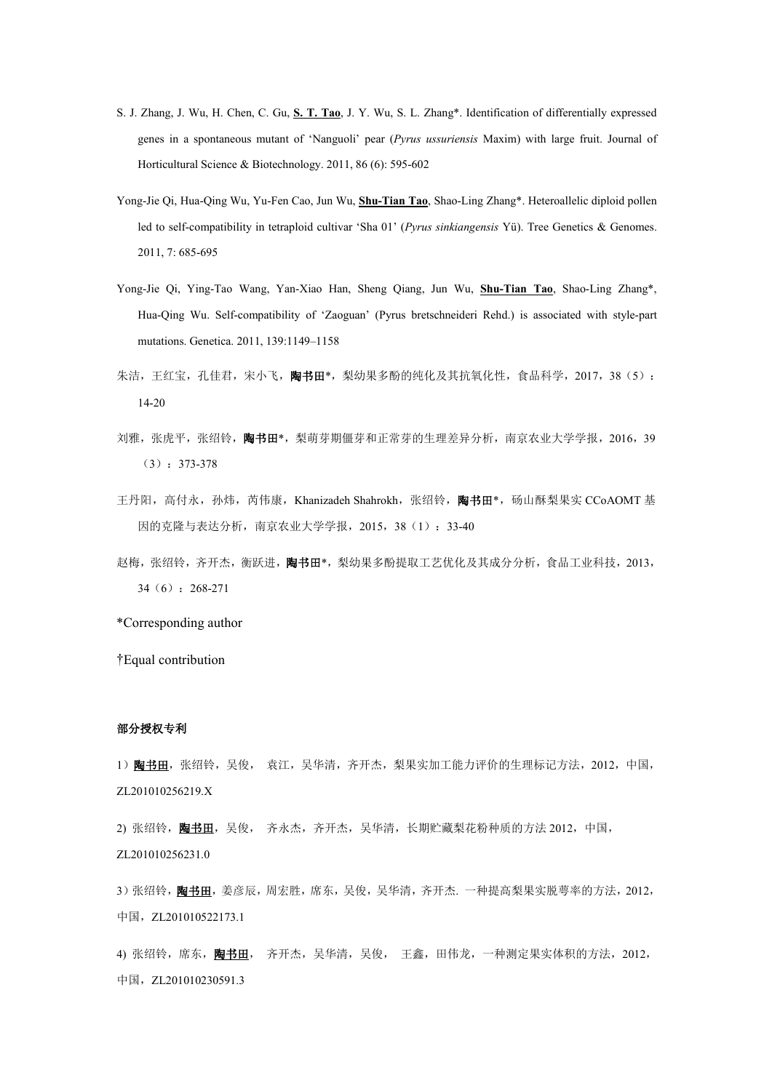- S. J. Zhang, J. Wu, H. Chen, C. Gu, **S. T. Tao**, J. Y. Wu, S. L. Zhang\*. Identification of differentially expressed genes in a spontaneous mutant of 'Nanguoli' pear (*Pyrus ussuriensis* Maxim) with large fruit. Journal of Horticultural Science & Biotechnology. 2011, 86 (6): 595-602
- Yong-Jie Qi, Hua-Qing Wu, Yu-Fen Cao, Jun Wu, **Shu-Tian Tao**, Shao-Ling Zhang\*. Heteroallelic diploid pollen led to self-compatibility in tetraploid cultivar 'Sha 01' (*Pyrus sinkiangensis* Yü). Tree Genetics & Genomes. 2011, 7: 685-695
- Yong-Jie Qi, Ying-Tao Wang, Yan-Xiao Han, Sheng Qiang, Jun Wu, **Shu-Tian Tao**, Shao-Ling Zhang\*, Hua-Qing Wu. Self-compatibility of 'Zaoguan' (Pyrus bretschneideri Rehd.) is associated with style-partmutations. Genetica. 2011, 139:1149–1158
- 朱洁,王红宝,孔佳君,宋小飞,陶书田\*,梨幼果多酚的纯化及其抗氧化性,食品科学,2017,38(5): 14-20
- 刘雅,张虎平,张绍铃,陶书田\*,梨萌芽期僵芽和正常芽的生理差异分析,南京农业大学学报,2016,39 (3):373-378
- 王丹阳, 高付永, 孙炜, 芮伟康, Khanizadeh Shahrokh, 张绍铃, 陶书田\*, 砀山酥梨果实 CCoAOMT 基 因的克隆与表达分析,南京农业大学学报,2015,38(1):33-40
- 赵梅,张绍铃,齐开杰, 衡跃进, 陶书田\*, 梨幼果多酚提取工艺优化及其成分分析, 食品工业科技, 2013, 34(6):268-271

\*Corresponding author

†Equal contribution

## 部分授权专利

1) **陶书田**, 张绍铃, 吴俊, 袁江, 吴华清, 齐开杰, 梨果实加工能力评价的生理标记方法, 2012, 中国, ZL201010256219.X

2) 张绍铃, 陶书田, 吴俊, 齐永杰, 齐开杰, 吴华清, 长期贮藏梨花粉种质的方法 2012, 中国, ZL201010256231.0

3) 张绍铃,陶书田,姜彦辰,周宏胜,席东,吴俊,吴华清,齐开杰. 一种提高梨果实脱萼率的方法, 2012, 中国, ZL201010522173.1

4) 张绍铃, 席东, <mark>陶书田</mark>, 齐开杰, 吴华清, 吴俊, 王鑫, 田伟龙, 一种测定果实体积的方法, 2012, 中国, ZL201010230591.3